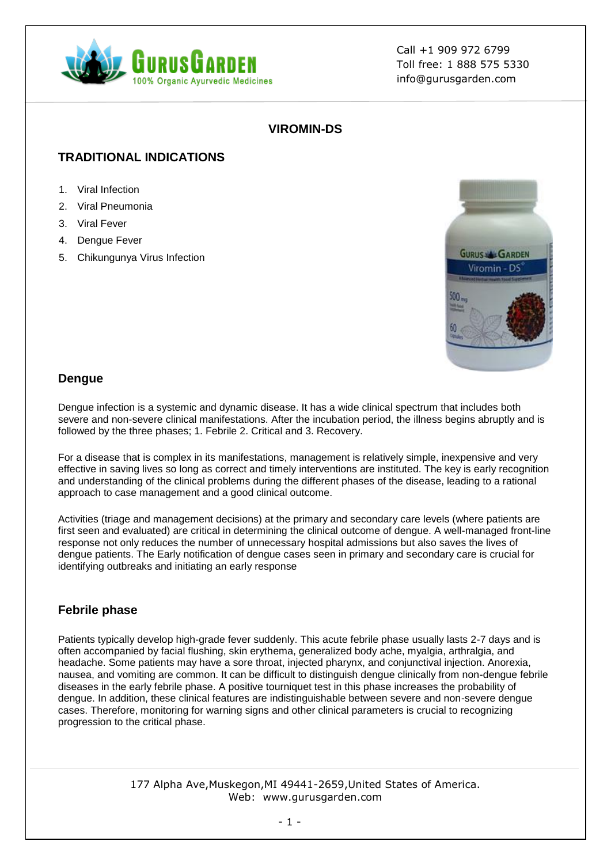

#### **VIROMIN-DS**

# **TRADITIONAL INDICATIONS**

- 1. Viral Infection
- 2. Viral Pneumonia
- 3. Viral Fever
- 4. Dengue Fever
- 5. Chikungunya Virus Infection



#### **Dengue**

Dengue infection is a systemic and dynamic disease. It has a wide clinical spectrum that includes both severe and non-severe clinical manifestations. After the incubation period, the illness begins abruptly and is followed by the three phases; 1. Febrile 2. Critical and 3. Recovery.

For a disease that is complex in its manifestations, management is relatively simple, inexpensive and very effective in saving lives so long as correct and timely interventions are instituted. The key is early recognition and understanding of the clinical problems during the different phases of the disease, leading to a rational approach to case management and a good clinical outcome.

Activities (triage and management decisions) at the primary and secondary care levels (where patients are first seen and evaluated) are critical in determining the clinical outcome of dengue. A well-managed front-line response not only reduces the number of unnecessary hospital admissions but also saves the lives of dengue patients. The Early notification of dengue cases seen in primary and secondary care is crucial for identifying outbreaks and initiating an early response

### **Febrile phase**

Patients typically develop high-grade fever suddenly. This acute febrile phase usually lasts 2-7 days and is often accompanied by facial flushing, skin erythema, generalized body ache, myalgia, arthralgia, and headache. Some patients may have a sore throat, injected pharynx, and conjunctival injection. Anorexia, nausea, and vomiting are common. It can be difficult to distinguish dengue clinically from non-dengue febrile diseases in the early febrile phase. A positive tourniquet test in this phase increases the probability of dengue. In addition, these clinical features are indistinguishable between severe and non-severe dengue cases. Therefore, monitoring for warning signs and other clinical parameters is crucial to recognizing progression to the critical phase.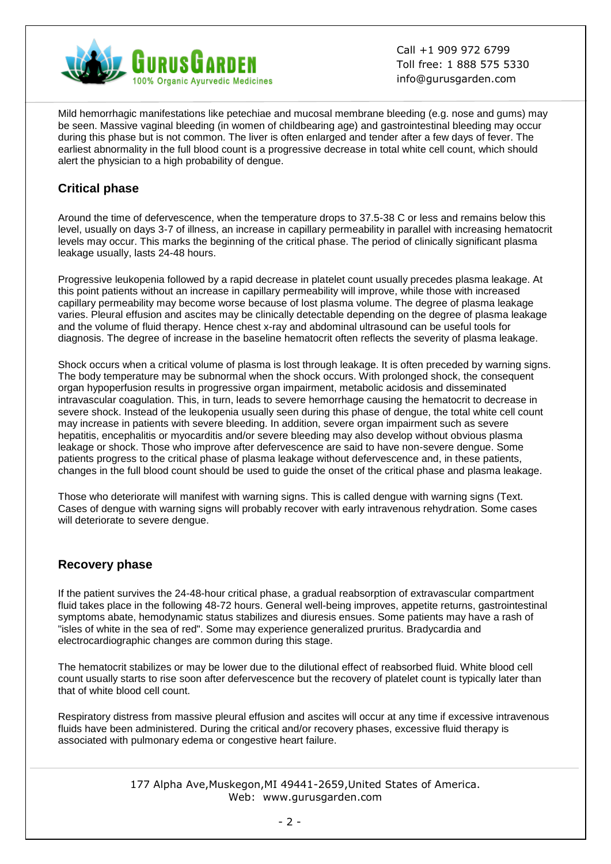

Mild hemorrhagic manifestations like petechiae and mucosal membrane bleeding (e.g. nose and gums) may be seen. Massive vaginal bleeding (in women of childbearing age) and gastrointestinal bleeding may occur during this phase but is not common. The liver is often enlarged and tender after a few days of fever. The earliest abnormality in the full blood count is a progressive decrease in total white cell count, which should alert the physician to a high probability of dengue.

### **Critical phase**

Around the time of defervescence, when the temperature drops to 37.5-38 C or less and remains below this level, usually on days 3-7 of illness, an increase in capillary permeability in parallel with increasing hematocrit levels may occur. This marks the beginning of the critical phase. The period of clinically significant plasma leakage usually, lasts 24-48 hours.

Progressive leukopenia followed by a rapid decrease in platelet count usually precedes plasma leakage. At this point patients without an increase in capillary permeability will improve, while those with increased capillary permeability may become worse because of lost plasma volume. The degree of plasma leakage varies. Pleural effusion and ascites may be clinically detectable depending on the degree of plasma leakage and the volume of fluid therapy. Hence chest x-ray and abdominal ultrasound can be useful tools for diagnosis. The degree of increase in the baseline hematocrit often reflects the severity of plasma leakage.

Shock occurs when a critical volume of plasma is lost through leakage. It is often preceded by warning signs. The body temperature may be subnormal when the shock occurs. With prolonged shock, the consequent organ hypoperfusion results in progressive organ impairment, metabolic acidosis and disseminated intravascular coagulation. This, in turn, leads to severe hemorrhage causing the hematocrit to decrease in severe shock. Instead of the leukopenia usually seen during this phase of dengue, the total white cell count may increase in patients with severe bleeding. In addition, severe organ impairment such as severe hepatitis, encephalitis or myocarditis and/or severe bleeding may also develop without obvious plasma leakage or shock. Those who improve after defervescence are said to have non-severe dengue. Some patients progress to the critical phase of plasma leakage without defervescence and, in these patients, changes in the full blood count should be used to guide the onset of the critical phase and plasma leakage.

Those who deteriorate will manifest with warning signs. This is called dengue with warning signs (Text. Cases of dengue with warning signs will probably recover with early intravenous rehydration. Some cases will deteriorate to severe dengue.

### **Recovery phase**

If the patient survives the 24-48-hour critical phase, a gradual reabsorption of extravascular compartment fluid takes place in the following 48-72 hours. General well-being improves, appetite returns, gastrointestinal symptoms abate, hemodynamic status stabilizes and diuresis ensues. Some patients may have a rash of "isles of white in the sea of red". Some may experience generalized pruritus. Bradycardia and electrocardiographic changes are common during this stage.

The hematocrit stabilizes or may be lower due to the dilutional effect of reabsorbed fluid. White blood cell count usually starts to rise soon after defervescence but the recovery of platelet count is typically later than that of white blood cell count.

Respiratory distress from massive pleural effusion and ascites will occur at any time if excessive intravenous fluids have been administered. During the critical and/or recovery phases, excessive fluid therapy is associated with pulmonary edema or congestive heart failure.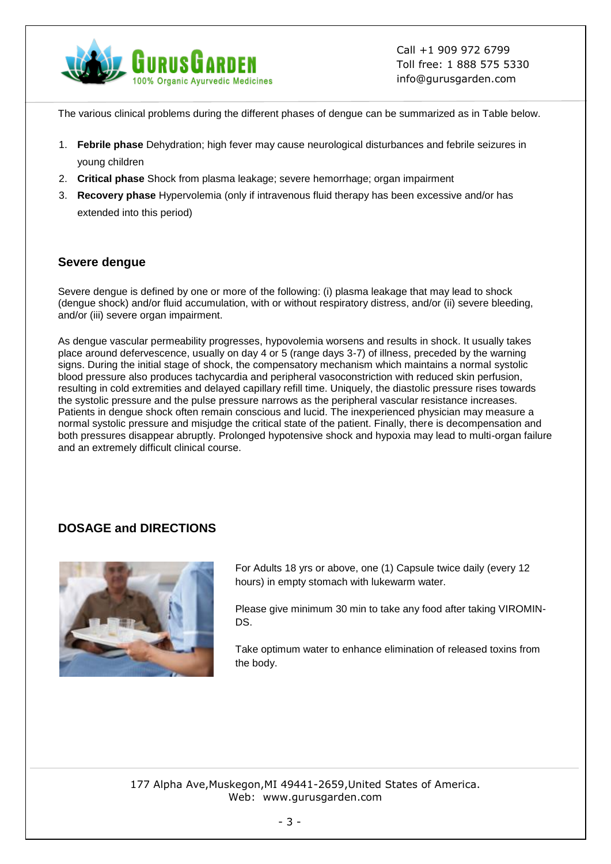

The various clinical problems during the different phases of dengue can be summarized as in Table below.

- 1. **Febrile phase** Dehydration; high fever may cause neurological disturbances and febrile seizures in young children
- 2. **Critical phase** Shock from plasma leakage; severe hemorrhage; organ impairment
- 3. **Recovery phase** Hypervolemia (only if intravenous fluid therapy has been excessive and/or has extended into this period)

#### **Severe dengue**

Severe dengue is defined by one or more of the following: (i) plasma leakage that may lead to shock (dengue shock) and/or fluid accumulation, with or without respiratory distress, and/or (ii) severe bleeding, and/or (iii) severe organ impairment.

As dengue vascular permeability progresses, hypovolemia worsens and results in shock. It usually takes place around defervescence, usually on day 4 or 5 (range days 3-7) of illness, preceded by the warning signs. During the initial stage of shock, the compensatory mechanism which maintains a normal systolic blood pressure also produces tachycardia and peripheral vasoconstriction with reduced skin perfusion, resulting in cold extremities and delayed capillary refill time. Uniquely, the diastolic pressure rises towards the systolic pressure and the pulse pressure narrows as the peripheral vascular resistance increases. Patients in dengue shock often remain conscious and lucid. The inexperienced physician may measure a normal systolic pressure and misjudge the critical state of the patient. Finally, there is decompensation and both pressures disappear abruptly. Prolonged hypotensive shock and hypoxia may lead to multi-organ failure and an extremely difficult clinical course.

#### **DOSAGE and DIRECTIONS**



For Adults 18 yrs or above, one (1) Capsule twice daily (every 12 hours) in empty stomach with lukewarm water.

Please give minimum 30 min to take any food after taking VIROMIN-DS.

Take optimum water to enhance elimination of released toxins from the body.